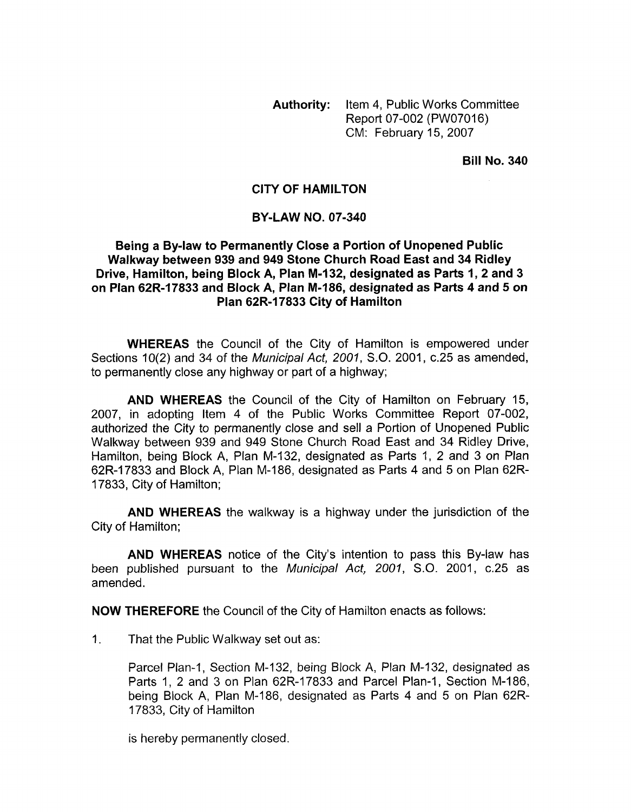Authority: Item 4, Public Works Committee Report 07-002 (PW07016) CM: February 15,2007

Bill No. 340

## CITY **OF** HAMILTON

## BY-LAW NO. 07-340

## Being a By-law to Permanently Close a Portion of Unopened Public Walkway between 939 and 949 Stone Church Road East and 34 Ridley Drive, Hamilton, being Block A, Plan M-I 32, designated as Parts I, 2 and 3 on Plan 62R-17833 and Block A, Plan M-186, designated as Parts 4 and 5 on Plan 62R-17833 City of Hamilton

WHEREAS the Council of the City of Hamilton is empowered under Sections lO(2) and 34 of the *Municipal Act, 2001, S.O.* 2001, c.25 as amended, to permanently close any highway or part of a highway;

AND WHEREAS the Council of the City of Hamilton on February 15, 2007, in adopting Item 4 of the Public Works Committee Report 07-002, authorized the City to permanently close and sell a Portion of Unopened Public Walkway between 939 and 949 Stone Church Road East and 34 Ridley Drive, Hamilton, being Block A, Plan M-132, designated as Parts 1, 2 and 3 on Plan 62R-17833 and Block A, Plan M-I 86, designated as Parts 4 and 5 on Plan 62R-17833, City of Hamilton;

AND WHEREAS the walkway is a highway under the jurisdiction of the City of Hamilton;

AND WHEREAS notice of the City's intention to pass this By-law has been published pursuant to the *Municipal Act, 2001, S.O.* 2001, c.25 as amended.

NOW THEREFORE the Council of the City of Hamilton enacts as follows:

1. That the Public Walkway set out as:

Parcel Plan-1, Section M-132, being Block A, Plan M-132, designated as Parts 1, 2 and 3 on Plan 62R-17833 and Parcel Plan-1, Section M-186, being Block A, Plan M-186, designated as Parts 4 and 5 on Plan 62R-17833, City of Hamilton

is hereby permanently closed